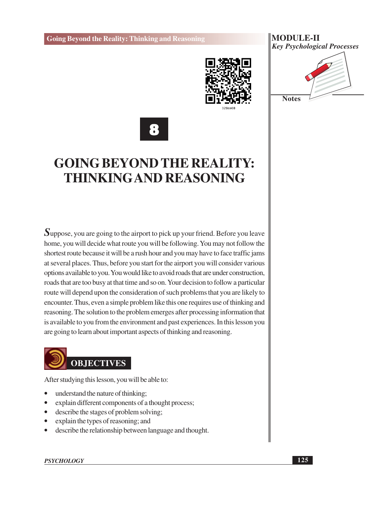

#### **MODULE-II Key Psychological Processes**





# **GOING BEYOND THE REALITY: THINKING AND REASONING**

Suppose, you are going to the airport to pick up your friend. Before you leave home, you will decide what route you will be following. You may not follow the shortest route because it will be a rush hour and you may have to face traffic jams at several places. Thus, before you start for the airport you will consider various options available to you. You would like to avoid roads that are under construction, roads that are too busy at that time and so on. Your decision to follow a particular route will depend upon the consideration of such problems that you are likely to encounter. Thus, even a simple problem like this one requires use of thinking and reasoning. The solution to the problem emerges after processing information that is available to you from the environment and past experiences. In this lesson you are going to learn about important aspects of thinking and reasoning.



After studying this lesson, you will be able to:

- understand the nature of thinking;
- explain different components of a thought process;  $\bullet$
- describe the stages of problem solving;
- explain the types of reasoning; and  $\bullet$
- describe the relationship between language and thought.  $\bullet$

**PSYCHOLOGY**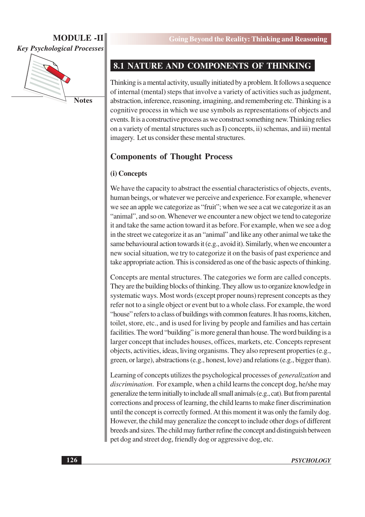**Key Psychological Processes** 



**Notes** 

### 8.1 NATURE AND COMPONENTS OF THINKING

Thinking is a mental activity, usually initiated by a problem. It follows a sequence of internal (mental) steps that involve a variety of activities such as judgment, abstraction, inference, reasoning, imagining, and remembering etc. Thinking is a cognitive process in which we use symbols as representations of objects and events. It is a constructive process as we construct something new. Thinking relies on a variety of mental structures such as I) concepts, ii) schemas, and iii) mental imagery. Let us consider these mental structures.

### **Components of Thought Process**

#### (i) Concepts

We have the capacity to abstract the essential characteristics of objects, events, human beings, or whatever we perceive and experience. For example, whenever we see an apple we categorize as "fruit"; when we see a cat we categorize it as an "animal", and so on. Whenever we encounter a new object we tend to categorize it and take the same action toward it as before. For example, when we see a dog in the street we categorize it as an "animal" and like any other animal we take the same behavioural action towards it (e.g., avoid it). Similarly, when we encounter a new social situation, we try to categorize it on the basis of past experience and take appropriate action. This is considered as one of the basic aspects of thinking.

Concepts are mental structures. The categories we form are called concepts. They are the building blocks of thinking. They allow us to organize knowledge in systematic ways. Most words (except proper nouns) represent concepts as they refer not to a single object or event but to a whole class. For example, the word "house" refers to a class of buildings with common features. It has rooms, kitchen, toilet, store, etc., and is used for living by people and families and has certain facilities. The word "building" is more general than house. The word building is a larger concept that includes houses, offices, markets, etc. Concepts represent objects, activities, ideas, living organisms. They also represent properties (e.g., green, or large), abstractions (e.g., honest, love) and relations (e.g., bigger than).

Learning of concepts utilizes the psychological processes of *generalization* and discrimination. For example, when a child learns the concept dog, he/she may generalize the term initially to include all small animals (e.g., cat). But from parental corrections and process of learning, the child learns to make finer discrimination until the concept is correctly formed. At this moment it was only the family dog. However, the child may generalize the concept to include other dogs of different breeds and sizes. The child may further refine the concept and distinguish between pet dog and street dog, friendly dog or aggressive dog, etc.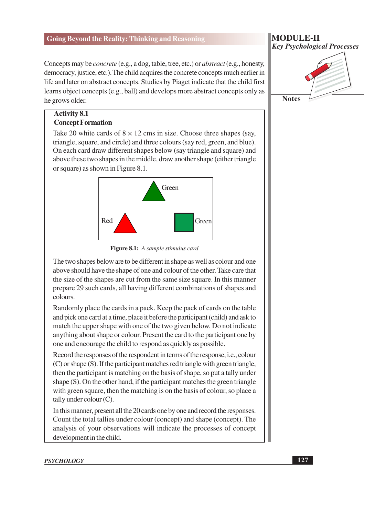Concepts may be *concrete* (e.g., a dog, table, tree, etc.) or *abstract* (e.g., honesty, democracy, justice, etc.). The child acquires the concrete concepts much earlier in life and later on abstract concepts. Studies by Piaget indicate that the child first learns object concepts (e.g., ball) and develops more abstract concepts only as he grows older.

#### **Activity 8.1 Concept Formation**

Take 20 white cards of  $8 \times 12$  cms in size. Choose three shapes (say, triangle, square, and circle) and three colours (say red, green, and blue). On each card draw different shapes below (say triangle and square) and above these two shapes in the middle, draw another shape (either triangle or square) as shown in Figure 8.1.



Figure 8.1: A sample stimulus card

The two shapes below are to be different in shape as well as colour and one above should have the shape of one and colour of the other. Take care that the size of the shapes are cut from the same size square. In this manner prepare 29 such cards, all having different combinations of shapes and colours.

Randomly place the cards in a pack. Keep the pack of cards on the table and pick one card at a time, place it before the participant (child) and ask to match the upper shape with one of the two given below. Do not indicate anything about shape or colour. Present the card to the participant one by one and encourage the child to respond as quickly as possible.

Record the responses of the respondent in terms of the response, *i.e.*, colour (C) or shape (S). If the participant matches red triangle with green triangle, then the participant is matching on the basis of shape, so put a tally under shape (S). On the other hand, if the participant matches the green triangle with green square, then the matching is on the basis of colour, so place a tally under colour  $(C)$ .

In this manner, present all the 20 cards one by one and record the responses. Count the total tallies under colour (concept) and shape (concept). The analysis of your observations will indicate the processes of concept development in the child.

#### **MODULE-II Key Psychological Processes**

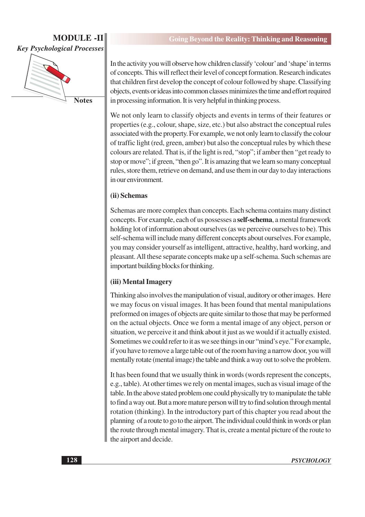### **MODULE-II Key Psychological Processes**



**Notes** 

In the activity you will observe how children classify 'colour' and 'shape' in terms of concepts. This will reflect their level of concept formation. Research indicates that children first develop the concept of colour followed by shape. Classifying objects, events or ideas into common classes minimizes the time and effort required in processing information. It is very helpful in thinking process.

We not only learn to classify objects and events in terms of their features or properties (e.g., colour, shape, size, etc.) but also abstract the conceptual rules associated with the property. For example, we not only learn to classify the colour of traffic light (red, green, amber) but also the conceptual rules by which these colours are related. That is, if the light is red, "stop"; if amber then "get ready to stop or move"; if green, "then go". It is amazing that we learn so many conceptual rules, store them, retrieve on demand, and use them in our day to day interactions in our environment.

#### (ii) Schemas

Schemas are more complex than concepts. Each schema contains many distinct concepts. For example, each of us possesses a **self-schema**, a mental framework holding lot of information about ourselves (as we perceive ourselves to be). This self-schema will include many different concepts about ourselves. For example, you may consider yourself as intelligent, attractive, healthy, hard working, and pleasant. All these separate concepts make up a self-schema. Such schemas are important building blocks for thinking.

#### (iii) Mental Imagery

Thinking also involves the manipulation of visual, auditory or other images. Here we may focus on visual images. It has been found that mental manipulations preformed on images of objects are quite similar to those that may be performed on the actual objects. Once we form a mental image of any object, person or situation, we perceive it and think about it just as we would if it actually existed. Sometimes we could refer to it as we see things in our "mind's eye." For example, if you have to remove a large table out of the room having a narrow door, you will mentally rotate (mental image) the table and think a way out to solve the problem.

It has been found that we usually think in words (words represent the concepts, e.g., table). At other times we rely on mental images, such as visual image of the table. In the above stated problem one could physically try to manipulate the table to find a way out. But a more mature person will try to find solution through mental rotation (thinking). In the introductory part of this chapter you read about the planning of a route to go to the airport. The individual could think in words or plan the route through mental imagery. That is, create a mental picture of the route to the airport and decide.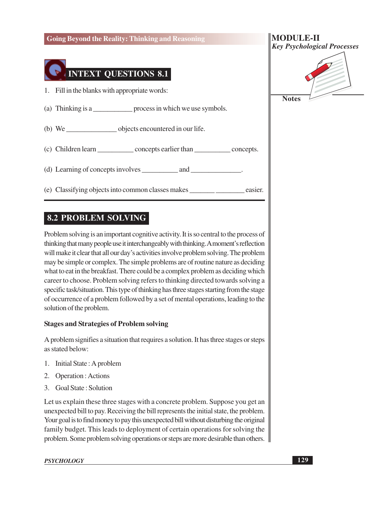

### **8.2 PROBLEM SOLVING**

Problem solving is an important cognitive activity. It is so central to the process of thinking that many people use it interchangeably with thinking. A moment's reflection will make it clear that all our day's activities involve problem solving. The problem may be simple or complex. The simple problems are of routine nature as deciding what to eat in the breakfast. There could be a complex problem as deciding which career to choose. Problem solving refers to thinking directed towards solving a specific task/situation. This type of thinking has three stages starting from the stage of occurrence of a problem followed by a set of mental operations, leading to the solution of the problem.

#### **Stages and Strategies of Problem solving**

A problem signifies a situation that requires a solution. It has three stages or steps as stated below:

- 1. Initial State: A problem
- 2. Operation: Actions
- 3. Goal State: Solution

Let us explain these three stages with a concrete problem. Suppose you get an unexpected bill to pay. Receiving the bill represents the initial state, the problem. Your goal is to find money to pay this unexpected bill without disturbing the original family budget. This leads to deployment of certain operations for solving the problem. Some problem solving operations or steps are more desirable than others.

#### **PSYCHOLOGY**



**Notes** 

129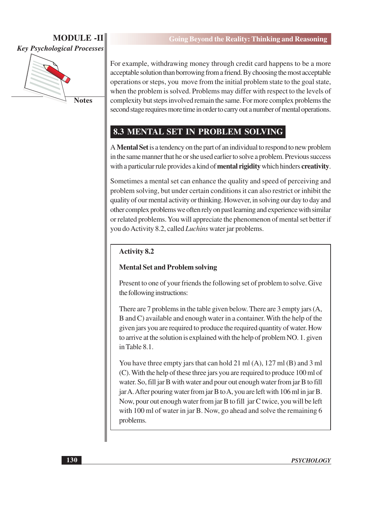

**Notes** 

For example, withdrawing money through credit card happens to be a more acceptable solution than borrowing from a friend. By choosing the most acceptable operations or steps, you move from the initial problem state to the goal state, when the problem is solved. Problems may differ with respect to the levels of complexity but steps involved remain the same. For more complex problems the second stage requires more time in order to carry out a number of mental operations.

### 8.3 MENTAL SET IN PROBLEM SOLVING

A Mental Set is a tendency on the part of an individual to respond to new problem in the same manner that he or she used earlier to solve a problem. Previous success with a particular rule provides a kind of **mental rigidity** which hinders **creativity**.

Sometimes a mental set can enhance the quality and speed of perceiving and problem solving, but under certain conditions it can also restrict or inhibit the quality of our mental activity or thinking. However, in solving our day to day and other complex problems we often rely on past learning and experience with similar or related problems. You will appreciate the phenomenon of mental set better if vou do Activity 8.2, called *Luchins* water jar problems.

### **Activity 8.2**

### **Mental Set and Problem solving**

Present to one of your friends the following set of problem to solve. Give the following instructions:

There are 7 problems in the table given below. There are 3 empty jars (A, B and C) available and enough water in a container. With the help of the given jars you are required to produce the required quantity of water. How to arrive at the solution is explained with the help of problem NO. 1. given in Table 8.1.

You have three empty jars that can hold 21 ml  $(A)$ , 127 ml  $(B)$  and 3 ml (C). With the help of these three jars you are required to produce 100 ml of water. So, fill jar B with water and pour out enough water from jar B to fill jar A. After pouring water from jar B to A, you are left with 106 ml in jar B. Now, pour out enough water from jar B to fill jar C twice, you will be left with 100 ml of water in jar B. Now, go ahead and solve the remaining 6 problems.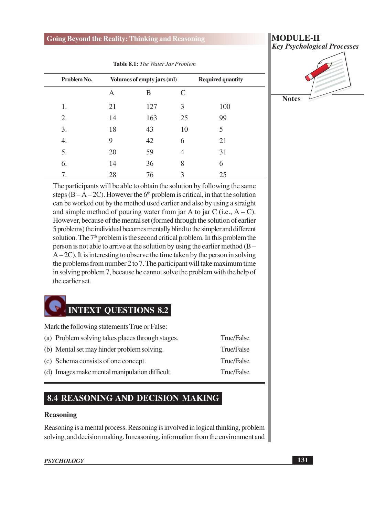| Problem No. | Volumes of empty jars (ml) |     |    | <b>Required quantity</b> |  |
|-------------|----------------------------|-----|----|--------------------------|--|
|             | Α                          | B   | C  |                          |  |
| 1.          | 21                         | 127 | 3  | 100                      |  |
| 2.          | 14                         | 163 | 25 | 99                       |  |
| 3.          | 18                         | 43  | 10 | 5                        |  |
| 4.          | 9                          | 42  | 6  | 21                       |  |
| 5.          | 20                         | 59  | 4  | 31                       |  |
| 6.          | 14                         | 36  | 8  | 6                        |  |
| 7.          | 28                         | 76  | 3  | 25                       |  |

Table 8.1: The Water Jar Problem

The participants will be able to obtain the solution by following the same steps  $(B - A - 2C)$ . However the 6<sup>th</sup> problem is critical, in that the solution can be worked out by the method used earlier and also by using a straight and simple method of pouring water from jar A to jar C (i.e.,  $A - C$ ). However, because of the mental set (formed through the solution of earlier 5 problems) the individual becomes mentally blind to the simpler and different solution. The 7<sup>th</sup> problem is the second critical problem. In this problem the person is not able to arrive at the solution by using the earlier method  $(B A-2C$ ). It is interesting to observe the time taken by the person in solving the problems from number 2 to 7. The participant will take maximum time in solving problem 7, because he cannot solve the problem with the help of the earlier set.

# **INTEXT QUESTIONS 8.2**

Mark the following statements True or False:

- (a) Problem solving takes places through stages.
- (b) Mental set may hinder problem solving.
- (c) Schema consists of one concept.
- (d) Images make mental manipulation difficult.

### 8.4 REASONING AND DECISION MAKING

#### **Reasoning**

Reasoning is a mental process. Reasoning is involved in logical thinking, problem solving, and decision making. In reasoning, information from the environment and

#### **PSYCHOLOGY**

**MODULE-II Key Psychological Processes** 



- True/False
- True/False True/False
- **True/False**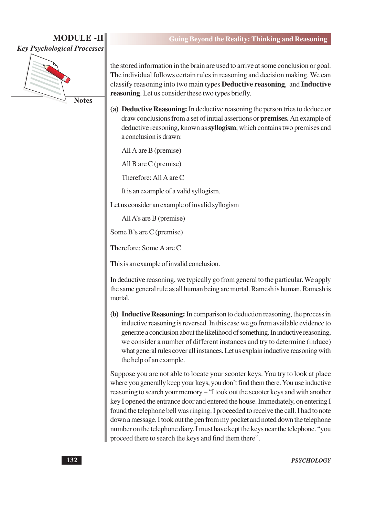**MODULE-II Key Psychological Processes** 



**Notes** 

the stored information in the brain are used to arrive at some conclusion or goal. The individual follows certain rules in reasoning and decision making. We can classify reasoning into two main types **Deductive reasoning**, and **Inductive** reasoning. Let us consider these two types briefly.

(a) Deductive Reasoning: In deductive reasoning the person tries to deduce or draw conclusions from a set of initial assertions or **premises**. An example of deductive reasoning, known as syllogism, which contains two premises and a conclusion is drawn:

All A are B (premise)

All B are  $C$  (premise)

Therefore: All A are C

It is an example of a valid syllogism.

Let us consider an example of invalid syllogism

All A's are B (premise)

Some B's are C (premise)

Therefore: Some A are C

This is an example of invalid conclusion.

In deductive reasoning, we typically go from general to the particular. We apply the same general rule as all human being are mortal. Ramesh is human. Ramesh is mortal.

(b) Inductive Reasoning: In comparison to deduction reasoning, the process in inductive reasoning is reversed. In this case we go from available evidence to generate a conclusion about the likelihood of something. In inductive reasoning, we consider a number of different instances and try to determine (induce) what general rules cover all instances. Let us explain inductive reasoning with the help of an example.

Suppose you are not able to locate your scooter keys. You try to look at place where you generally keep your keys, you don't find them there. You use inductive reasoning to search your memory - "I took out the scooter keys and with another key I opened the entrance door and entered the house. Immediately, on entering I found the telephone bell was ringing. I proceeded to receive the call. I had to note down a message. I took out the pen from my pocket and noted down the telephone number on the telephone diary. I must have kept the keys near the telephone. "you proceed there to search the keys and find them there".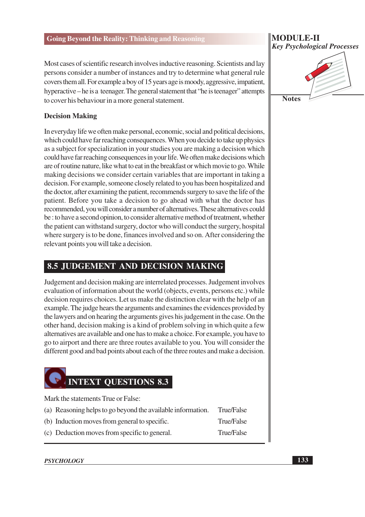Most cases of scientific research involves inductive reasoning. Scientists and lay persons consider a number of instances and try to determine what general rule covers them all. For example a boy of 15 years age is moody, aggressive, impatient, hyperactive – he is a teenager. The general statement that "he is teenager" attempts to cover his behaviour in a more general statement.

#### **Decision Making**

In everyday life we often make personal, economic, social and political decisions, which could have far reaching consequences. When you decide to take up physics as a subject for specialization in your studies you are making a decision which could have far reaching consequences in your life. We often make decisions which are of routine nature, like what to eat in the breakfast or which movie to go. While making decisions we consider certain variables that are important in taking a decision. For example, someone closely related to you has been hospitalized and the doctor, after examining the patient, recommends surgery to save the life of the patient. Before you take a decision to go ahead with what the doctor has recommended, you will consider a number of alternatives. These alternatives could be : to have a second opinion, to consider alternative method of treatment, whether the patient can withstand surgery, doctor who will conduct the surgery, hospital where surgery is to be done, finances involved and so on. After considering the relevant points you will take a decision.

### **8.5 JUDGEMENT AND DECISION MAKING**

Judgement and decision making are interrelated processes. Judgement involves evaluation of information about the world (objects, events, persons etc.) while decision requires choices. Let us make the distinction clear with the help of an example. The judge hears the arguments and examines the evidences provided by the lawyers and on hearing the arguments gives his judgement in the case. On the other hand, decision making is a kind of problem solving in which quite a few alternatives are available and one has to make a choice. For example, you have to go to airport and there are three routes available to you. You will consider the different good and bad points about each of the three routes and make a decision.

# **INTEXT OUESTIONS 8.3**

Mark the statements True or False:

- (a) Reasoning helps to go beyond the available information.
- (b) Induction moves from general to specific.
- **True/False**
- **True/False True/False**
- (c) Deduction moves from specific to general.

#### **PSYCHOLOGY**

### **MODULE-II Key Psychological Processes**

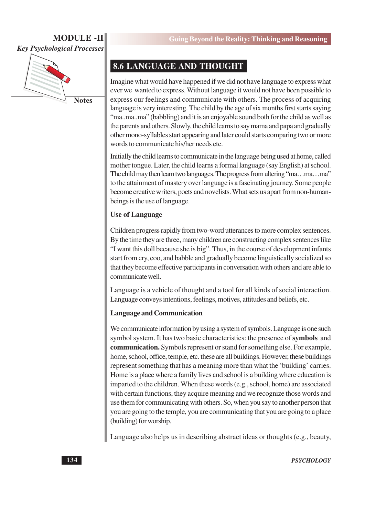# **MODULE-II**

**Key Psychological Processes** 



### **8.6 LANGUAGE AND THOUGHT**

Imagine what would have happened if we did not have language to express what ever we wanted to express. Without language it would not have been possible to express our feelings and communicate with others. The process of acquiring language is very interesting. The child by the age of six months first starts saying "ma..ma..ma" (babbling) and it is an enjoyable sound both for the child as well as the parents and others. Slowly, the child learns to say mama and papa and gradually other mono-syllables start appearing and later could starts comparing two or more words to communicate his/her needs etc.

Initially the child learns to communicate in the language being used at home, called mother tongue. Later, the child learns a formal language (say English) at school. The child may then learn two languages. The progress from ultering "ma...ma...ma" to the attainment of mastery over language is a fascinating journey. Some people become creative writers, poets and novelists. What sets us apart from non-humanbeings is the use of language.

#### **Use of Language**

Children progress rapidly from two-word utterances to more complex sentences. By the time they are three, many children are constructing complex sentences like "I want this doll because she is big". Thus, in the course of development infants start from cry, coo, and babble and gradually become linguistically socialized so that they become effective participants in conversation with others and are able to communicate well.

Language is a vehicle of thought and a tool for all kinds of social interaction. Language conveys intentions, feelings, motives, attitudes and beliefs, etc.

#### **Language and Communication**

We communicate information by using a system of symbols. Language is one such symbol system. It has two basic characteristics: the presence of symbols and communication. Symbols represent or stand for something else. For example, home, school, office, temple, etc. these are all buildings. However, these buildings represent something that has a meaning more than what the 'building' carries. Home is a place where a family lives and school is a building where education is imparted to the children. When these words (e.g., school, home) are associated with certain functions, they acquire meaning and we recognize those words and use them for communicating with others. So, when you say to another person that you are going to the temple, you are communicating that you are going to a place (building) for worship.

Language also helps us in describing abstract ideas or thoughts (e.g., beauty,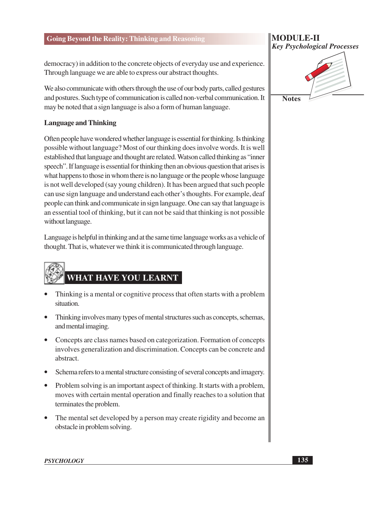democracy) in addition to the concrete objects of everyday use and experience. Through language we are able to express our abstract thoughts.

We also communicate with others through the use of our body parts, called gestures and postures. Such type of communication is called non-verbal communication. It may be noted that a sign language is also a form of human language.

#### **Language and Thinking**

Often people have wondered whether language is essential for thinking. Is thinking possible without language? Most of our thinking does involve words. It is well established that language and thought are related. Watson called thinking as "inner speech". If language is essential for thinking then an obvious question that arises is what happens to those in whom there is no language or the people whose language is not well developed (say young children). It has been argued that such people can use sign language and understand each other's thoughts. For example, deaf people can think and communicate in sign language. One can say that language is an essential tool of thinking, but it can not be said that thinking is not possible without language.

Language is helpful in thinking and at the same time language works as a vehicle of thought. That is, whatever we think it is communicated through language.

# **WHAT HAVE YOU LEARNT**

- Thinking is a mental or cognitive process that often starts with a problem situation.
- Thinking involves many types of mental structures such as concepts, schemas, and mental imaging.
- Concepts are class names based on categorization. Formation of concepts involves generalization and discrimination. Concepts can be concrete and abstract.
- Schema refers to a mental structure consisting of several concepts and imagery.
- Problem solving is an important aspect of thinking. It starts with a problem, moves with certain mental operation and finally reaches to a solution that terminates the problem.
- The mental set developed by a person may create rigidity and become an obstacle in problem solving.

### **MODULE-II Key Psychological Processes**



**PSYCHOLOGY**